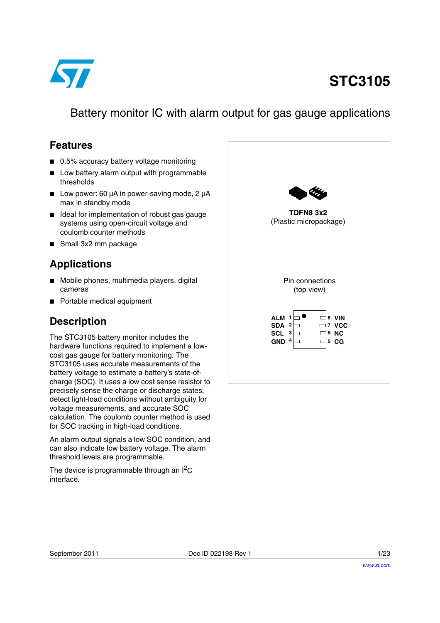

# **STC3105**

## Battery monitor IC with alarm output for gas gauge applications

## **Features**

- 0.5% accuracy battery voltage monitoring
- Low battery alarm output with programmable thresholds
- Low power: 60 µA in power-saving mode, 2 µA max in standby mode
- Ideal for implementation of robust gas gauge systems using open-circuit voltage and coulomb counter methods
- Small 3x2 mm package

## **Applications**

- Mobile phones, multimedia players, digital cameras
- Portable medical equipment

## **Description**

The STC3105 battery monitor includes the hardware functions required to implement a lowcost gas gauge for battery monitoring. The STC3105 uses accurate measurements of the battery voltage to estimate a battery's state-ofcharge (SOC). It uses a low cost sense resistor to precisely sense the charge or discharge states, detect light-load conditions without ambiguity for voltage measurements, and accurate SOC calculation. The coulomb counter method is used for SOC tracking in high-load conditions.

An alarm output signals a low SOC condition, and can also indicate low battery voltage. The alarm threshold levels are programmable.

The device is programmable through an I<sup>2</sup>C interface.

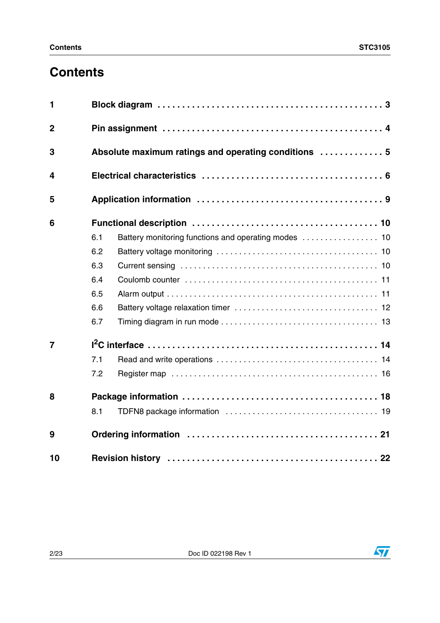## **Contents**

| $\blacksquare$          |     |                                                      |  |  |  |  |  |  |  |
|-------------------------|-----|------------------------------------------------------|--|--|--|--|--|--|--|
| $\overline{2}$          |     |                                                      |  |  |  |  |  |  |  |
| 3                       |     | Absolute maximum ratings and operating conditions  5 |  |  |  |  |  |  |  |
| $\overline{\mathbf{4}}$ |     |                                                      |  |  |  |  |  |  |  |
| 5                       |     |                                                      |  |  |  |  |  |  |  |
| 6                       |     |                                                      |  |  |  |  |  |  |  |
|                         | 6.1 |                                                      |  |  |  |  |  |  |  |
|                         | 6.2 |                                                      |  |  |  |  |  |  |  |
|                         | 6.3 |                                                      |  |  |  |  |  |  |  |
|                         | 6.4 |                                                      |  |  |  |  |  |  |  |
|                         | 6.5 |                                                      |  |  |  |  |  |  |  |
|                         | 6.6 |                                                      |  |  |  |  |  |  |  |
|                         | 6.7 |                                                      |  |  |  |  |  |  |  |
| $\overline{7}$          |     |                                                      |  |  |  |  |  |  |  |
|                         | 7.1 |                                                      |  |  |  |  |  |  |  |
|                         | 7.2 |                                                      |  |  |  |  |  |  |  |
| 8                       |     |                                                      |  |  |  |  |  |  |  |
|                         | 8.1 |                                                      |  |  |  |  |  |  |  |
| 9                       |     |                                                      |  |  |  |  |  |  |  |
| 10                      |     |                                                      |  |  |  |  |  |  |  |

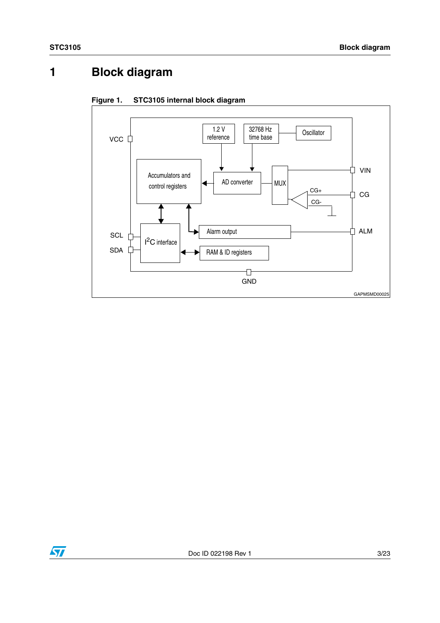## <span id="page-2-0"></span>**1 Block diagram**



**Figure 1. STC3105 internal block diagram**

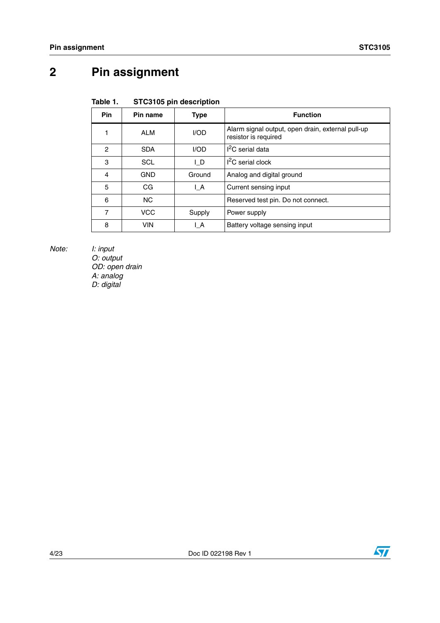# <span id="page-3-0"></span>**2 Pin assignment**

| 1991 L.       |            | <b>OT ACTION MILL ACSALIBRIOLL</b> |                                                                           |
|---------------|------------|------------------------------------|---------------------------------------------------------------------------|
| <b>Pin</b>    | Pin name   | <b>Type</b>                        | <b>Function</b>                                                           |
|               | <b>ALM</b> | I/OD                               | Alarm signal output, open drain, external pull-up<br>resistor is required |
| $\mathcal{P}$ | <b>SDA</b> | I/OD                               | $I2C$ serial data                                                         |
| 3             | <b>SCL</b> | ΙD                                 | $I2C$ serial clock                                                        |
| 4             | <b>GND</b> | Ground                             | Analog and digital ground                                                 |
| 5             | CG         | I A                                | Current sensing input                                                     |
| 6             | <b>NC</b>  |                                    | Reserved test pin. Do not connect.                                        |
| 7             | <b>VCC</b> | Supply                             | Power supply                                                              |
| 8             | <b>VIN</b> | ΙA                                 | Battery voltage sensing input                                             |

#### Table 1 **STC3105 pin description**

*Note: I: input*

*O: output OD: open drain A: analog D: digital*



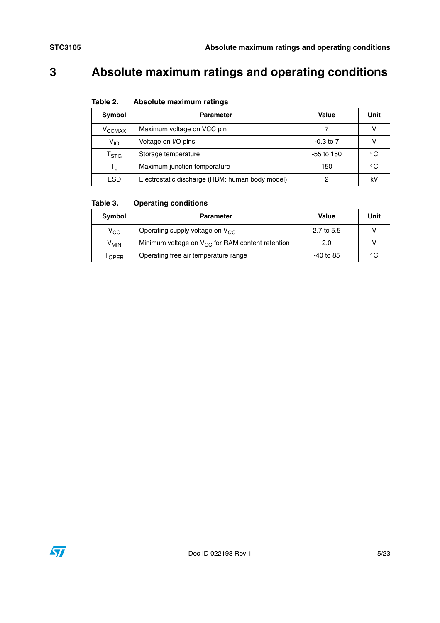# <span id="page-4-0"></span>**3 Absolute maximum ratings and operating conditions**

| Table 2. |  | Absolute maximum ratings |  |
|----------|--|--------------------------|--|
|----------|--|--------------------------|--|

| Symbol                      | <b>Parameter</b>                                | Value         | Unit         |
|-----------------------------|-------------------------------------------------|---------------|--------------|
| <b>V<sub>CCMAX</sub></b>    | Maximum voltage on VCC pin                      |               |              |
| $V_{IO}$                    | Voltage on I/O pins                             | $-0.3$ to $7$ |              |
| $\mathsf{T}_{\textsf{STG}}$ | Storage temperature                             | $-55$ to 150  | $^{\circ}$ C |
| Т.,                         | Maximum junction temperature                    | 150           | $^{\circ}$ C |
| <b>ESD</b>                  | Electrostatic discharge (HBM: human body model) |               | kV           |

#### Table 3. **Operating conditions**

| Symbol            | <b>Parameter</b>                                      | Value       | Unit |
|-------------------|-------------------------------------------------------|-------------|------|
| $\rm v_{cc}$      | Operating supply voltage on $V_{CC}$                  | 2.7 to 5.5  |      |
| V <sub>MIN</sub>  | Minimum voltage on $V_{CC}$ for RAM content retention | 2.0         |      |
| <sup>I</sup> OPER | Operating free air temperature range                  | $-40$ to 85 | ◦C   |

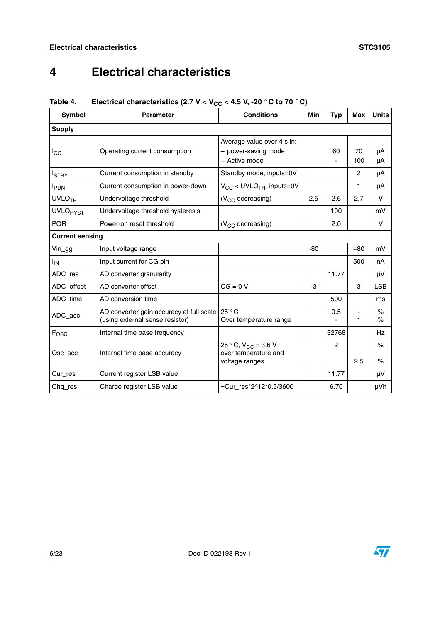# <span id="page-5-0"></span>**4 Electrical characteristics**

| Symbol                     | <b>Parameter</b>                                                            | Min                                                                | <b>Typ</b> | Max            | <b>Units</b> |                            |
|----------------------------|-----------------------------------------------------------------------------|--------------------------------------------------------------------|------------|----------------|--------------|----------------------------|
| <b>Supply</b>              |                                                                             |                                                                    |            |                |              |                            |
| $I_{\rm CC}$               | Operating current consumption                                               | Average value over 4 s in:<br>- power-saving mode<br>- Active mode |            | 60             | 70<br>100    | μA<br>μA                   |
| <b>I</b> STBY              | Current consumption in standby                                              | Standby mode, inputs=0V                                            |            |                | $\mathbf{2}$ | μA                         |
| <b>IPDN</b>                | Current consumption in power-down                                           | $V_{CC}$ < UVLO <sub>TH</sub> , inputs=0V                          |            |                | 1            | μA                         |
| <b>UVLO<sub>TH</sub></b>   | Undervoltage threshold                                                      | $(V_{CC}$ decreasing)                                              | 2.5        | 2.6            | 2.7          | V                          |
| <b>UVLO<sub>HYST</sub></b> | Undervoltage threshold hysteresis                                           |                                                                    |            | 100            |              | mV                         |
| <b>POR</b>                 | Power-on reset threshold                                                    | $(V_{CC}$ decreasing)                                              |            | 2.0            |              | v                          |
| <b>Current sensing</b>     |                                                                             |                                                                    |            |                |              |                            |
| Vin_gg                     | Input voltage range                                                         |                                                                    | $-80$      |                | $+80$        | mV                         |
| <b>I<sub>IN</sub></b>      | Input current for CG pin                                                    |                                                                    |            |                | 500          | nA                         |
| ADC_res                    | AD converter granularity                                                    |                                                                    |            | 11.77          |              | μV                         |
| ADC_offset                 | AD converter offset                                                         | $CG = 0 V$                                                         | $-3$       |                | 3            | <b>LSB</b>                 |
| ADC_time                   | AD conversion time                                                          |                                                                    |            | 500            |              | ms                         |
| ADC_acc                    | AD converter gain accuracy at full scale<br>(using external sense resistor) | 25 °C<br>Over temperature range                                    |            | 0.5            | 1            | $\%$<br>$\frac{1}{\alpha}$ |
| Fosc                       | Internal time base frequency                                                |                                                                    |            | 32768          |              | Hz                         |
| Osc_acc                    | Internal time base accuracy                                                 | 25 °C, $V_{CC}$ = 3.6 V<br>over temperature and<br>voltage ranges  |            | $\overline{c}$ | 2.5          | $\%$<br>$\%$               |
| Cur res                    | Current register LSB value                                                  |                                                                    |            | 11.77          |              | μV                         |
| Chg_res                    | Charge register LSB value                                                   | =Cur_res*2^12*0.5/3600                                             |            | 6.70           |              | µVh                        |

Table 4. Electrical characteristics (2.7 V < V<sub>CC</sub> < 4.5 V, -20  $^{\circ}$ C to 70  $^{\circ}$ C)

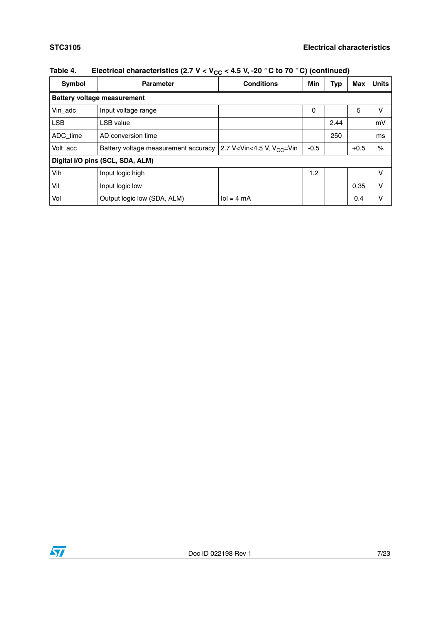| Symbol                             | <b>Parameter</b>                     | <b>Conditions</b>                              | Min    | Typ  | Max    | <b>Units</b> |  |  |  |
|------------------------------------|--------------------------------------|------------------------------------------------|--------|------|--------|--------------|--|--|--|
| <b>Battery voltage measurement</b> |                                      |                                                |        |      |        |              |  |  |  |
| Vin adc                            | Input voltage range                  |                                                | 0      |      | 5      | ν            |  |  |  |
| <b>LSB</b>                         | LSB value                            |                                                |        | 2.44 |        | mV           |  |  |  |
| ADC_time                           | AD conversion time                   |                                                |        | 250  |        | ms           |  |  |  |
| Volt acc                           | Battery voltage measurement accuracy | 2.7 V <vin<4.5 v,="" v<sub="">CC=Vin</vin<4.5> | $-0.5$ |      | $+0.5$ | $\%$         |  |  |  |
|                                    | Digital I/O pins (SCL, SDA, ALM)     |                                                |        |      |        |              |  |  |  |
| Vih                                | Input logic high                     |                                                | 1.2    |      |        | v            |  |  |  |
| Vil                                | Input logic low                      |                                                |        |      | 0.35   | v            |  |  |  |
| Vol                                | Output logic low (SDA, ALM)          | $\text{Io} = 4 \text{ mA}$                     |        |      | 0.4    | v            |  |  |  |

#### Table 4. Electrical characteristics  $(2.7 \text{ V} < V_{CC} < 4.5 \text{ V}, -20 \degree \text{C}$  to 70  $\degree \text{C}$ ) (continued)

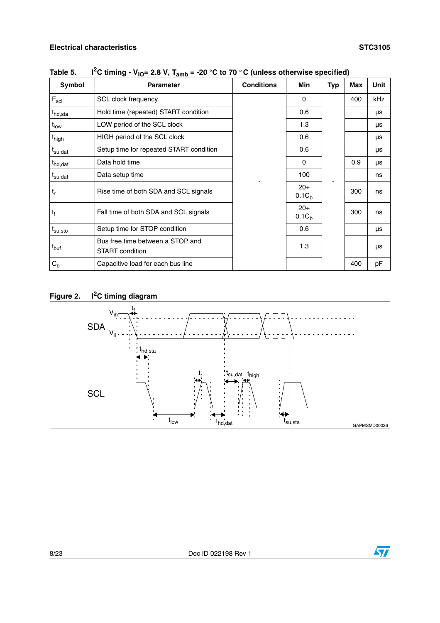| Symbol              | <b>Parameter</b>                                           | <b>Conditions</b> | Min                        | <b>Typ</b> | Max | Unit       |
|---------------------|------------------------------------------------------------|-------------------|----------------------------|------------|-----|------------|
| $F_{\rm scl}$       | <b>SCL clock frequency</b>                                 |                   | 0                          |            | 400 | <b>kHz</b> |
| t <sub>hd,sta</sub> | Hold time (repeated) START condition                       |                   | 0.6                        |            |     | μs         |
| t <sub>low</sub>    | LOW period of the SCL clock                                |                   | 1.3                        |            |     | μs         |
| t <sub>high</sub>   | HIGH period of the SCL clock                               |                   | 0.6                        |            |     | μs         |
| t <sub>su,dat</sub> | Setup time for repeated START condition                    |                   | 0.6                        |            |     | μs         |
| t <sub>hd,dat</sub> | Data hold time                                             |                   | 0                          |            | 0.9 | μs         |
| t <sub>su,dat</sub> | Data setup time                                            |                   | 100                        |            |     | ns         |
| $t_r$               | Rise time of both SDA and SCL signals                      |                   | $20+$<br>0.1C <sub>h</sub> |            | 300 | ns         |
| $t_{\rm f}$         | Fall time of both SDA and SCL signals                      |                   | $20+$<br>0.1C <sub>h</sub> |            | 300 | ns         |
| $t_{\rm su,sto}$    | Setup time for STOP condition                              |                   | 0.6                        |            |     | μs         |
| t <sub>buf</sub>    | Bus free time between a STOP and<br><b>START</b> condition |                   | 1.3                        |            |     | μs         |
| $C_{b}$             | Capacitive load for each bus line                          |                   |                            |            | 400 | pF         |

Table 5. I<sup>2</sup>C timing - V<sub>IO</sub>= 2.8 V, T<sub>amb</sub> = -20 °C to 70 °C (unless otherwise specified)

#### Figure 2. I<sup>2</sup>C timing diagram



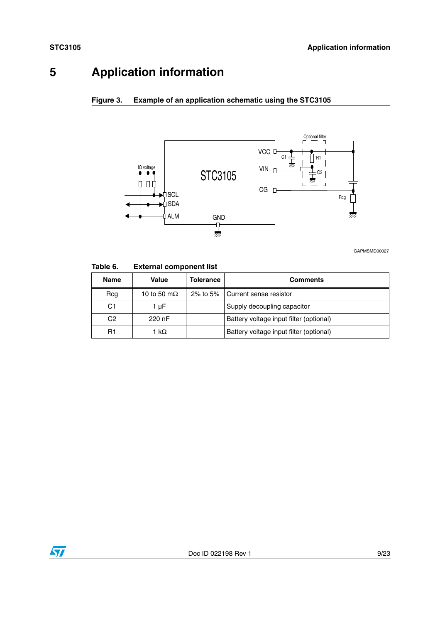# <span id="page-8-0"></span>**5 Application information**



#### **Figure 3. Example of an application schematic using the STC3105**

Table 6. **External component list** 

| <b>Name</b>    | <b>Value</b>        | <b>Tolerance</b> | <b>Comments</b>                         |
|----------------|---------------------|------------------|-----------------------------------------|
| Rcg            | 10 to 50 m $\Omega$ |                  | 2% to 5% Current sense resistor         |
| C1             | 1 µF                |                  | Supply decoupling capacitor             |
| C <sub>2</sub> | 220 nF              |                  | Battery voltage input filter (optional) |
| R1             | 1 kΩ                |                  | Battery voltage input filter (optional) |

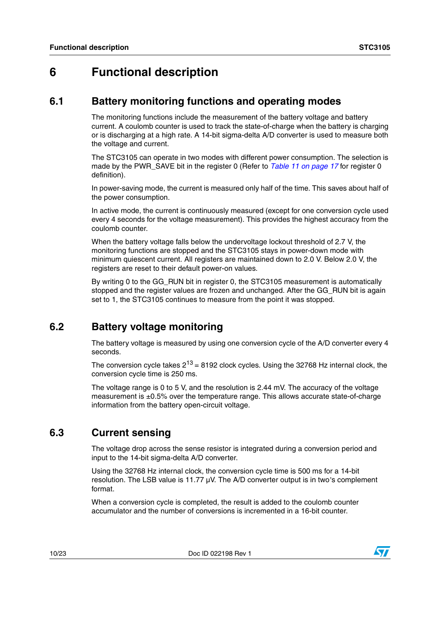## <span id="page-9-0"></span>**6 Functional description**

#### <span id="page-9-1"></span>**6.1 Battery monitoring functions and operating modes**

The monitoring functions include the measurement of the battery voltage and battery current. A coulomb counter is used to track the state-of-charge when the battery is charging or is discharging at a high rate. A 14-bit sigma-delta A/D converter is used to measure both the voltage and current.

The STC3105 can operate in two modes with different power consumption. The selection is made by the PWR\_SAVE bit in the register 0 (Refer to *[Table 11 on page 17](#page-16-0)* for register 0 definition).

In power-saving mode, the current is measured only half of the time. This saves about half of the power consumption.

In active mode, the current is continuously measured (except for one conversion cycle used every 4 seconds for the voltage measurement). This provides the highest accuracy from the coulomb counter.

When the battery voltage falls below the undervoltage lockout threshold of 2.7 V, the monitoring functions are stopped and the STC3105 stays in power-down mode with minimum quiescent current. All registers are maintained down to 2.0 V. Below 2.0 V, the registers are reset to their default power-on values.

By writing 0 to the GG\_RUN bit in register 0, the STC3105 measurement is automatically stopped and the register values are frozen and unchanged. After the GG RUN bit is again set to 1, the STC3105 continues to measure from the point it was stopped.

## <span id="page-9-2"></span>**6.2 Battery voltage monitoring**

The battery voltage is measured by using one conversion cycle of the A/D converter every 4 seconds.

The conversion cycle takes  $2^{13}$  = 8192 clock cycles. Using the 32768 Hz internal clock, the conversion cycle time is 250 ms.

The voltage range is 0 to 5 V, and the resolution is 2.44 mV. The accuracy of the voltage measurement is ±0.5% over the temperature range. This allows accurate state-of-charge information from the battery open-circuit voltage.

### <span id="page-9-3"></span>**6.3 Current sensing**

The voltage drop across the sense resistor is integrated during a conversion period and input to the 14-bit sigma-delta A/D converter.

Using the 32768 Hz internal clock, the conversion cycle time is 500 ms for a 14-bit resolution. The LSB value is 11.77  $\mu$ V. The A/D converter output is in two's complement format.

When a conversion cycle is completed, the result is added to the coulomb counter accumulator and the number of conversions is incremented in a 16-bit counter.

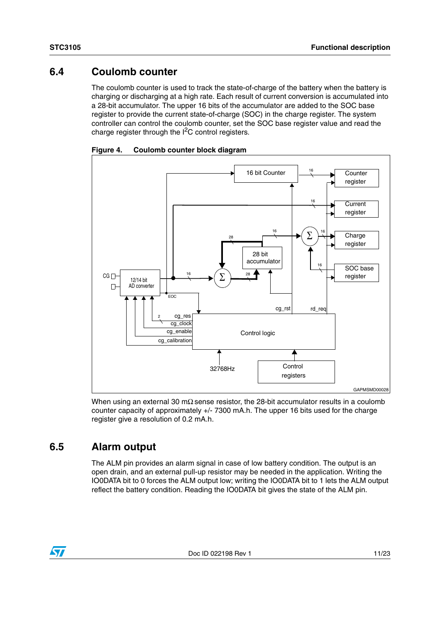### <span id="page-10-0"></span>**6.4 Coulomb counter**

The coulomb counter is used to track the state-of-charge of the battery when the battery is charging or discharging at a high rate. Each result of current conversion is accumulated into a 28-bit accumulator. The upper 16 bits of the accumulator are added to the SOC base register to provide the current state-of-charge (SOC) in the charge register. The system controller can control the coulomb counter, set the SOC base register value and read the charge register through the  $I<sup>2</sup>C$  control registers.





When using an external 30 mΩ sense resistor, the 28-bit accumulator results in a coulomb counter capacity of approximately +/- 7300 mA.h. The upper 16 bits used for the charge register give a resolution of 0.2 mA.h.

## <span id="page-10-1"></span>**6.5 Alarm output**

The ALM pin provides an alarm signal in case of low battery condition. The output is an open drain, and an external pull-up resistor may be needed in the application. Writing the IO0DATA bit to 0 forces the ALM output low; writing the IO0DATA bit to 1 lets the ALM output reflect the battery condition. Reading the IO0DATA bit gives the state of the ALM pin.

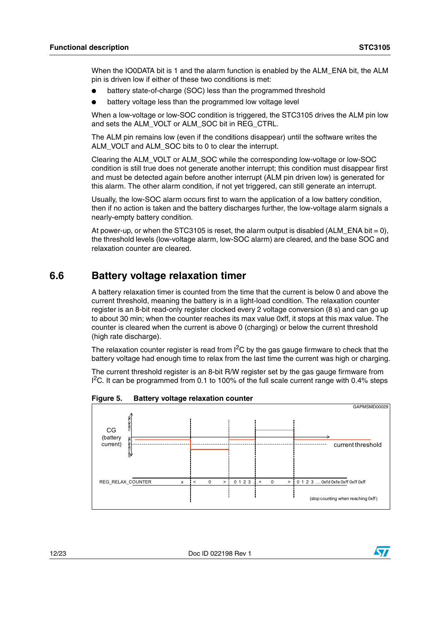When the IO0DATA bit is 1 and the alarm function is enabled by the ALM\_ENA bit, the ALM pin is driven low if either of these two conditions is met:

- battery state-of-charge (SOC) less than the programmed threshold
- battery voltage less than the programmed low voltage level

When a low-voltage or low-SOC condition is triggered, the STC3105 drives the ALM pin low and sets the ALM\_VOLT or ALM\_SOC bit in REG\_CTRL.

The ALM pin remains low (even if the conditions disappear) until the software writes the ALM\_VOLT and ALM\_SOC bits to 0 to clear the interrupt.

Clearing the ALM\_VOLT or ALM\_SOC while the corresponding low-voltage or low-SOC condition is still true does not generate another interrupt; this condition must disappear first and must be detected again before another interrupt (ALM pin driven low) is generated for this alarm. The other alarm condition, if not yet triggered, can still generate an interrupt.

Usually, the low-SOC alarm occurs first to warn the application of a low battery condition, then if no action is taken and the battery discharges further, the low-voltage alarm signals a nearly-empty battery condition.

At power-up, or when the STC3105 is reset, the alarm output is disabled (ALM\_ENA bit = 0). the threshold levels (low-voltage alarm, low-SOC alarm) are cleared, and the base SOC and relaxation counter are cleared.

#### <span id="page-11-0"></span>**6.6 Battery voltage relaxation timer**

A battery relaxation timer is counted from the time that the current is below 0 and above the current threshold, meaning the battery is in a light-load condition. The relaxation counter register is an 8-bit read-only register clocked every 2 voltage conversion (8 s) and can go up to about 30 min; when the counter reaches its max value 0xff, it stops at this max value. The counter is cleared when the current is above 0 (charging) or below the current threshold (high rate discharge).

The relaxation counter register is read from  $I^2C$  by the gas gauge firmware to check that the battery voltage had enough time to relax from the last time the current was high or charging.

The current threshold register is an 8-bit R/W register set by the gas gauge firmware from <sup>2</sup>C. It can be programmed from 0.1 to 100% of the full scale current range with 0.4% steps



**Figure 5. Battery voltage relaxation counter** 

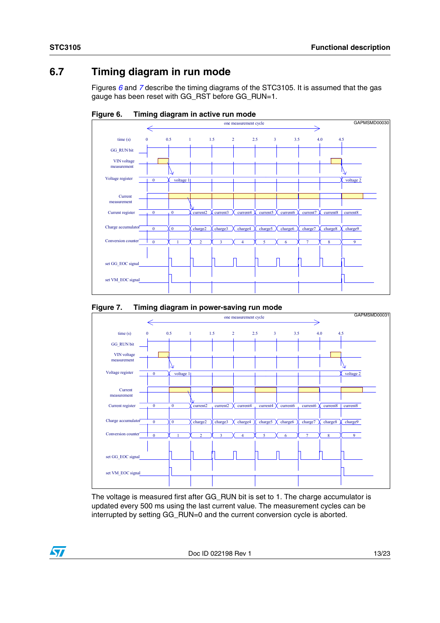## <span id="page-12-0"></span>**6.7 Timing diagram in run mode**

Figures *[6](#page-12-1)* and *[7](#page-12-2)* describe the timing diagrams of the STC3105. It is assumed that the gas gauge has been reset with GG\_RST before GG\_RUN=1.



<span id="page-12-1"></span>**Figure 6. Timing diagram in active run mode** 

<span id="page-12-2"></span>![](_page_12_Figure_6.jpeg)

![](_page_12_Figure_7.jpeg)

The voltage is measured first after GG\_RUN bit is set to 1. The charge accumulator is updated every 500 ms using the last current value. The measurement cycles can be interrupted by setting GG\_RUN=0 and the current conversion cycle is aborted.

![](_page_12_Picture_9.jpeg)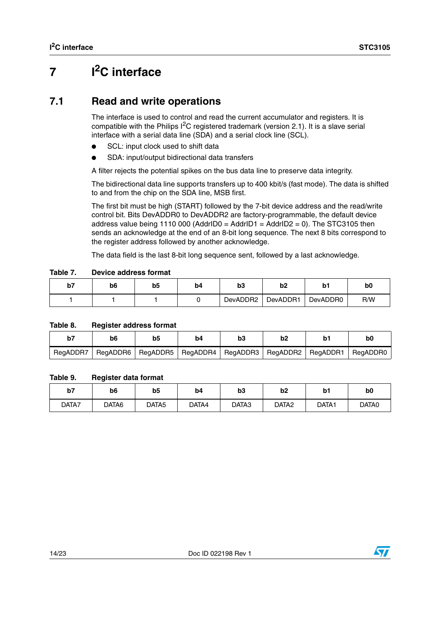## <span id="page-13-0"></span>**7 I2C interface**

### <span id="page-13-1"></span>**7.1 Read and write operations**

The interface is used to control and read the current accumulator and registers. It is compatible with the Philips  $I^2C$  registered trademark (version 2.1). It is a slave serial interface with a serial data line (SDA) and a serial clock line (SCL).

- SCL: input clock used to shift data
- SDA: input/output bidirectional data transfers

A filter rejects the potential spikes on the bus data line to preserve data integrity.

The bidirectional data line supports transfers up to 400 kbit/s (fast mode). The data is shifted to and from the chip on the SDA line, MSB first.

The first bit must be high (START) followed by the 7-bit device address and the read/write control bit. Bits DevADDR0 to DevADDR2 are factory-programmable, the default device address value being 1110 000 (AddrID0 = AddrID1 = AddrID2 = 0). The STC3105 then sends an acknowledge at the end of an 8-bit long sequence. The next 8 bits correspond to the register address followed by another acknowledge.

The data field is the last 8-bit long sequence sent, followed by a last acknowledge.

**Table 7. Device address format**

| D1 | b6 | Dэ | b <sub>4</sub> | டீ<br>DJ. | IJΖ      | N.       | b0  |
|----|----|----|----------------|-----------|----------|----------|-----|
|    |    |    |                | DevADDR2  | DevADDR1 | DevADDR0 | R/W |

#### **Table 8. Register address format**

| b7       | b6       | b5       | b4 | b3                  | b2 | b                   | b0       |
|----------|----------|----------|----|---------------------|----|---------------------|----------|
| RegADDR7 | RegADDR6 | RegADDR5 |    | RegADDR4   RegADDR3 |    | RegADDR2   RegADDR1 | ReaADDR0 |

#### **Table 9. Register data format**

| b7    | b6    | b5    | b <sub>4</sub> | b3    | b2                | b1    | b0    |
|-------|-------|-------|----------------|-------|-------------------|-------|-------|
| Data7 | DATA6 | DATA5 | Data4          | DATA3 | DATA <sub>2</sub> | DATA1 | DATA0 |

![](_page_13_Picture_17.jpeg)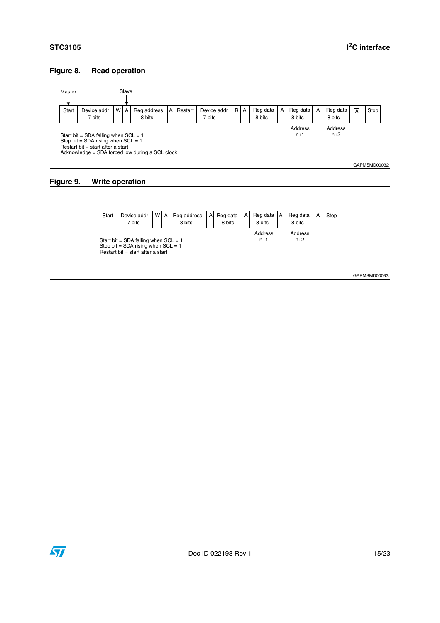#### **Figure 8. Read operation**

| Master       |                                                                                                                     |     | Slave |                                                 |    |         |                       |     |                    |   |                    |   |                    |   |      |
|--------------|---------------------------------------------------------------------------------------------------------------------|-----|-------|-------------------------------------------------|----|---------|-----------------------|-----|--------------------|---|--------------------|---|--------------------|---|------|
| <b>Start</b> | Device addr<br>7 bits                                                                                               | WAI |       | Reg address<br>8 bits                           | ΑI | Restart | Device addr<br>7 bits | R A | Reg data<br>8 bits | A | Reg data<br>8 bits | A | Reg data<br>8 bits | А | Stop |
|              | Start bit = SDA falling when $SCL = 1$<br>Stop bit = SDA rising when $SCL = 1$<br>Restart bit = start after a start |     |       | Acknowledge = SDA forced low during a SCL clock |    |         |                       |     |                    |   | Address<br>$n+1$   |   | Address<br>$n+2$   |   |      |

#### **Figure 9. Write operation**

![](_page_14_Figure_5.jpeg)

![](_page_14_Picture_6.jpeg)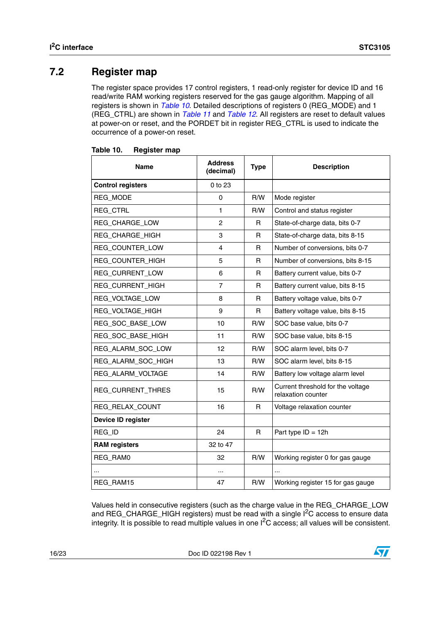## <span id="page-15-0"></span>**7.2 Register map**

The register space provides 17 control registers, 1 read-only register for device ID and 16 read/write RAM working registers reserved for the gas gauge algorithm. Mapping of all registers is shown in *[Table 10](#page-15-1)*. Detailed descriptions of registers 0 (REG\_MODE) and 1 (REG\_CTRL) are shown in *[Table 11](#page-16-0)* and *[Table 12](#page-16-1)*. All registers are reset to default values at power-on or reset, and the PORDET bit in register REG\_CTRL is used to indicate the occurrence of a power-on reset.

| <b>Name</b>              | <b>Address</b><br>(decimal) | <b>Type</b> | <b>Description</b>                                      |
|--------------------------|-----------------------------|-------------|---------------------------------------------------------|
| <b>Control registers</b> | 0 to 23                     |             |                                                         |
| <b>REG MODE</b>          | 0                           | R/W         | Mode register                                           |
| REG_CTRL                 | 1                           | R/W         | Control and status register                             |
| REG_CHARGE_LOW           | 2                           | R           | State-of-charge data, bits 0-7                          |
| <b>REG_CHARGE_HIGH</b>   | 3                           | R           | State-of-charge data, bits 8-15                         |
| REG_COUNTER_LOW          | 4                           | R           | Number of conversions, bits 0-7                         |
| <b>REG_COUNTER_HIGH</b>  | 5                           | R           | Number of conversions, bits 8-15                        |
| REG_CURRENT_LOW          | 6                           | R           | Battery current value, bits 0-7                         |
| <b>REG_CURRENT_HIGH</b>  | $\overline{7}$              | R           | Battery current value, bits 8-15                        |
| REG_VOLTAGE_LOW          | 8                           | R           | Battery voltage value, bits 0-7                         |
| REG_VOLTAGE_HIGH         | 9                           | R           | Battery voltage value, bits 8-15                        |
| REG_SOC_BASE_LOW         | 10                          | R/W         | SOC base value, bits 0-7                                |
| REG_SOC_BASE_HIGH        | 11                          | R/W         | SOC base value, bits 8-15                               |
| REG_ALARM_SOC_LOW        | 12                          | R/W         | SOC alarm level, bits 0-7                               |
| REG_ALARM_SOC_HIGH       | 13                          | R/W         | SOC alarm level, bits 8-15                              |
| REG_ALARM_VOLTAGE        | 14                          | R/W         | Battery low voltage alarm level                         |
| REG_CURRENT_THRES        | 15                          | R/W         | Current threshold for the voltage<br>relaxation counter |
| REG_RELAX_COUNT          | 16                          | R           | Voltage relaxation counter                              |
| Device ID register       |                             |             |                                                         |
| REG_ID                   | 24                          | R           | Part type $ID = 12h$                                    |
| <b>RAM</b> registers     | 32 to 47                    |             |                                                         |
| REG_RAM0                 | 32                          | R/W         | Working register 0 for gas gauge                        |
|                          |                             |             |                                                         |
| REG_RAM15                | 47                          | R/W         | Working register 15 for gas gauge                       |

<span id="page-15-1"></span>Table 10. **Register map** 

Values held in consecutive registers (such as the charge value in the REG\_CHARGE\_LOW and REG\_CHARGE\_HIGH registers) must be read with a single I<sup>2</sup>C access to ensure data integrity. It is possible to read multiple values in one I2C access; all values will be consistent.

![](_page_15_Picture_8.jpeg)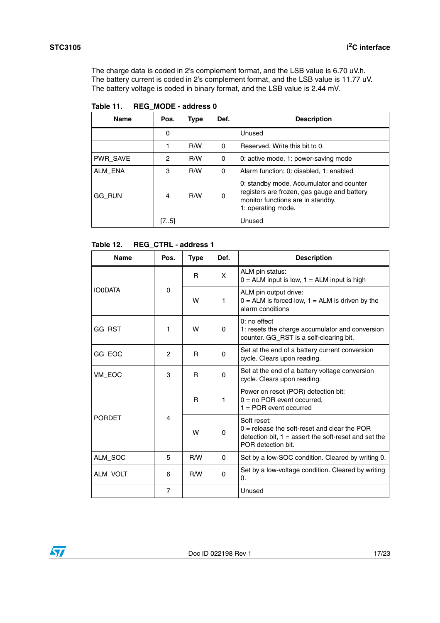The charge data is coded in 2's complement format, and the LSB value is 6.70 uV.h. The battery current is coded in 2's complement format, and the LSB value is 11.77 uV. The battery voltage is coded in binary format, and the LSB value is 2.44 mV.

| <b>Name</b>     | Pos. | Type | Def.     | <b>Description</b>                                                                                                                                 |
|-----------------|------|------|----------|----------------------------------------------------------------------------------------------------------------------------------------------------|
|                 | 0    |      |          | Unused                                                                                                                                             |
|                 |      | R/W  | $\Omega$ | Reserved. Write this bit to 0.                                                                                                                     |
| <b>PWR SAVE</b> | 2    | R/W  | $\Omega$ | 0: active mode, 1: power-saving mode                                                                                                               |
| ALM ENA         | 3    | R/W  | $\Omega$ | Alarm function: 0: disabled, 1: enabled                                                                                                            |
| <b>GG RUN</b>   | 4    | R/W  | $\Omega$ | 0: standby mode. Accumulator and counter<br>registers are frozen, gas gauge and battery<br>monitor functions are in standby.<br>1: operating mode. |
|                 | [75] |      |          | Unused                                                                                                                                             |

<span id="page-16-0"></span>Table 11. REG\_MODE - address 0

<span id="page-16-1"></span>**Table 12. REG\_CTRL - address 1**

| <b>Name</b>    | Pos.           | <b>Type</b>   | Def.     | <b>Description</b>                                                                                                                            |  |  |
|----------------|----------------|---------------|----------|-----------------------------------------------------------------------------------------------------------------------------------------------|--|--|
|                |                | R             | X        | ALM pin status:<br>$0 = ALM$ input is low, $1 = ALM$ input is high                                                                            |  |  |
| <b>IO0DATA</b> | $\Omega$       | w             | 1        | ALM pin output drive:<br>$0 = ALM$ is forced low, $1 = ALM$ is driven by the<br>alarm conditions                                              |  |  |
| GG RST         | 1              | w<br>$\Omega$ |          | 0: no effect<br>1: resets the charge accumulator and conversion<br>counter. GG_RST is a self-clearing bit.                                    |  |  |
| GG_EOC         | 2              | R             | 0        | Set at the end of a battery current conversion<br>cycle. Clears upon reading.                                                                 |  |  |
| VM EOC         | 3              | R             | $\Omega$ | Set at the end of a battery voltage conversion<br>cycle. Clears upon reading.                                                                 |  |  |
|                |                | R             | 1        | Power on reset (POR) detection bit:<br>$0 = no POR$ event occurred.<br>$1 = POR$ event occurred                                               |  |  |
| <b>PORDET</b>  | $\overline{4}$ | w             | $\Omega$ | Soft reset:<br>$0 =$ release the soft-reset and clear the POR<br>detection bit, $1 =$ assert the soft-reset and set the<br>POR detection bit. |  |  |
| ALM_SOC        | 5              | R/W           | $\Omega$ | Set by a low-SOC condition. Cleared by writing 0.                                                                                             |  |  |
| ALM VOLT       | 6              | R/M           | $\Omega$ | Set by a low-voltage condition. Cleared by writing<br>0.                                                                                      |  |  |
|                | 7              |               |          | Unused                                                                                                                                        |  |  |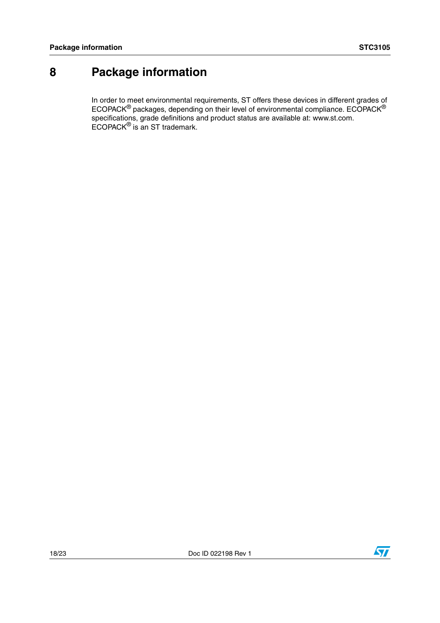## <span id="page-17-0"></span>**8 Package information**

In order to meet environmental requirements, ST offers these devices in different grades of ECOPACK $^{\circledR}$  packages, depending on their level of environmental compliance. ECOPACK $^{\circledR}$ specifications, grade definitions and product status are available at: www.st.com. ECOPACK® is an ST trademark.

![](_page_17_Picture_6.jpeg)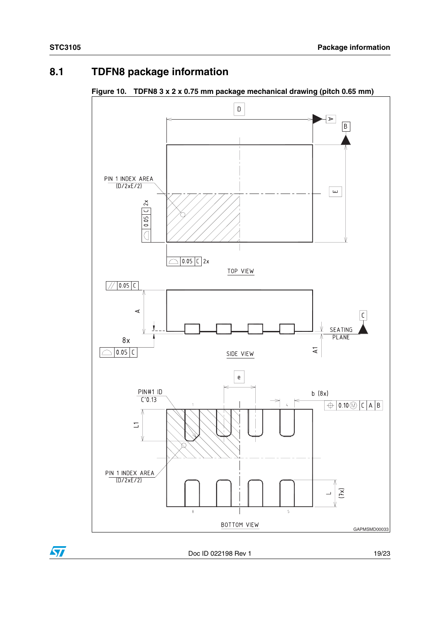$\sqrt{2}$ 

## <span id="page-18-0"></span>**8.1 TDFN8 package information**

**Figure 10. TDFN8 3 x 2 x 0.75 mm package mechanical drawing (pitch 0.65 mm)**

![](_page_18_Figure_4.jpeg)

Doc ID 022198 Rev 1 19/23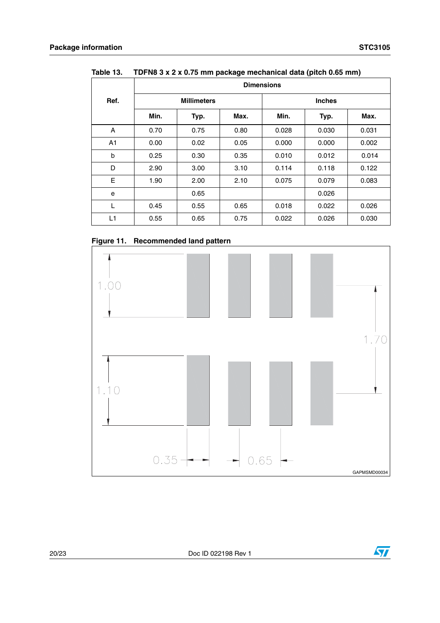|      |                   | r                  |      |               | Æ     |       |  |  |  |  |
|------|-------------------|--------------------|------|---------------|-------|-------|--|--|--|--|
|      | <b>Dimensions</b> |                    |      |               |       |       |  |  |  |  |
| Ref. |                   | <b>Millimeters</b> |      | <b>Inches</b> |       |       |  |  |  |  |
|      | Min.              | Typ.               | Max. | Min.          | Typ.  | Max.  |  |  |  |  |
| A    | 0.70              | 0.75               | 0.80 | 0.028         | 0.030 | 0.031 |  |  |  |  |
| A1   | 0.00              | 0.02               | 0.05 | 0.000         | 0.000 | 0.002 |  |  |  |  |
| b    | 0.25              | 0.30               | 0.35 | 0.010         | 0.012 | 0.014 |  |  |  |  |
| D    | 2.90              | 3.00               | 3.10 | 0.114         | 0.118 | 0.122 |  |  |  |  |
| E    | 1.90              | 2.00               | 2.10 | 0.075         | 0.079 | 0.083 |  |  |  |  |
| e    |                   | 0.65               |      |               | 0.026 |       |  |  |  |  |
| L    | 0.45              | 0.55               | 0.65 | 0.018         | 0.022 | 0.026 |  |  |  |  |
| L1   | 0.55              | 0.65               | 0.75 | 0.022         | 0.026 | 0.030 |  |  |  |  |

Table 13. **TDFN8 3 x 2 x 0.75 mm package mechanical data (pitch 0.65 mm)** 

![](_page_19_Figure_4.jpeg)

![](_page_19_Figure_5.jpeg)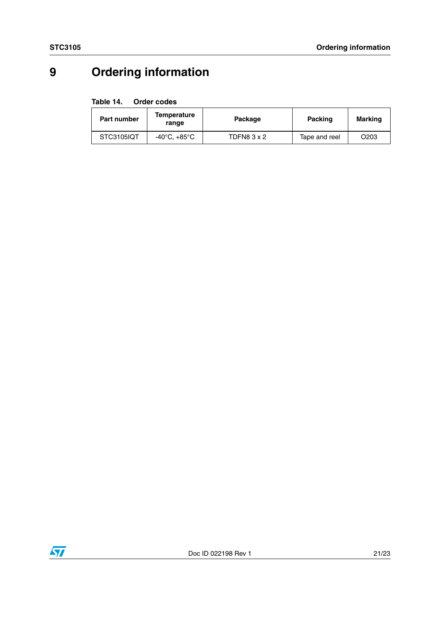# <span id="page-20-0"></span>**9 Ordering information**

#### **Table 14. Order codes**

| Part number | Temperature<br>range   | Package  | <b>Packing</b> | Marking |  |
|-------------|------------------------|----------|----------------|---------|--|
| STC3105IQT  | -40°C. $+85^{\circ}$ C | TDFN83x2 | Tape and reel  | O203    |  |

![](_page_20_Picture_5.jpeg)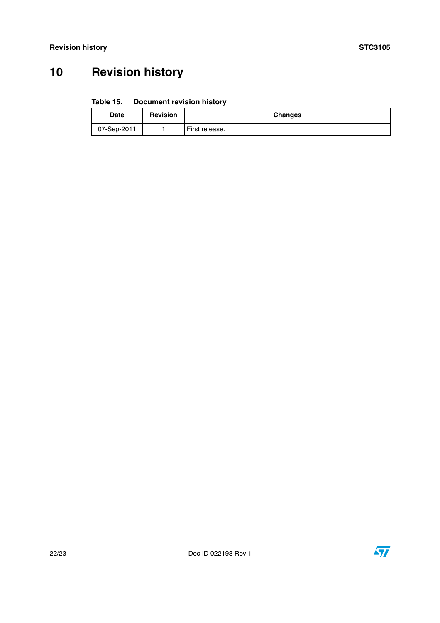# <span id="page-21-0"></span>**10 Revision history**

#### Table 15. **Document revision history**

| Date        | <b>Revision</b> | <b>Changes</b> |
|-------------|-----------------|----------------|
| 07-Sep-2011 |                 | First release. |

![](_page_21_Picture_7.jpeg)